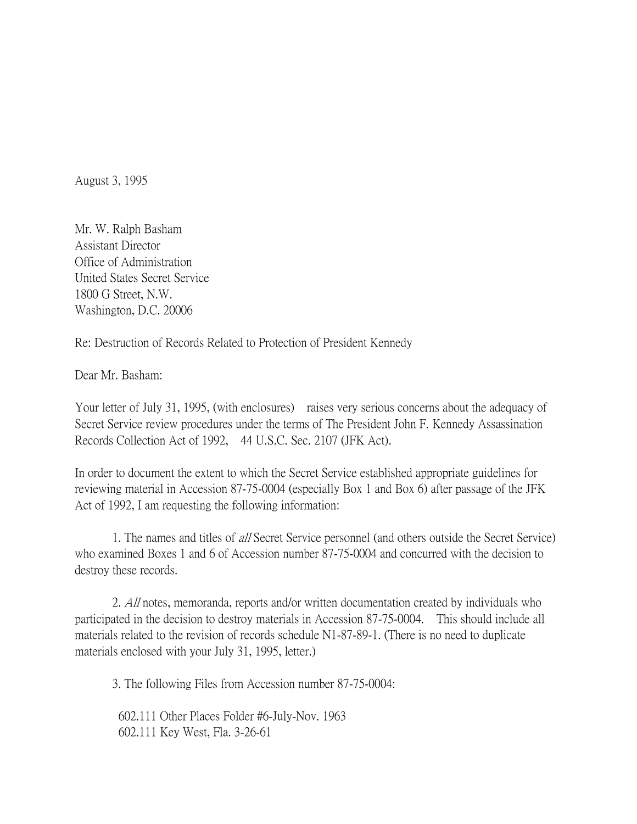August 3, 1995

Mr. W. Ralph Basham Assistant Director Office of Administration United States Secret Service 1800 G Street, N.W. Washington, D.C. 20006

Re: Destruction of Records Related to Protection of President Kennedy

Dear Mr. Basham:

Your letter of July 31, 1995, (with enclosures) raises very serious concerns about the adequacy of Secret Service review procedures under the terms of The President John F. Kennedy Assassination Records Collection Act of 1992, 44 U.S.C. Sec. 2107 (JFK Act).

In order to document the extent to which the Secret Service established appropriate guidelines for reviewing material in Accession 87-75-0004 (especially Box 1 and Box 6) after passage of the JFK Act of 1992, I am requesting the following information:

1. The names and titles of all Secret Service personnel (and others outside the Secret Service) who examined Boxes 1 and 6 of Accession number 87-75-0004 and concurred with the decision to destroy these records.

2. All notes, memoranda, reports and/or written documentation created by individuals who participated in the decision to destroy materials in Accession 87-75-0004. This should include all materials related to the revision of records schedule N1-87-89-1. (There is no need to duplicate materials enclosed with your July 31, 1995, letter.)

3. The following Files from Accession number 87-75-0004:

602.111 Other Places Folder #6-July-Nov. 1963 602.111 Key West, Fla. 3-26-61